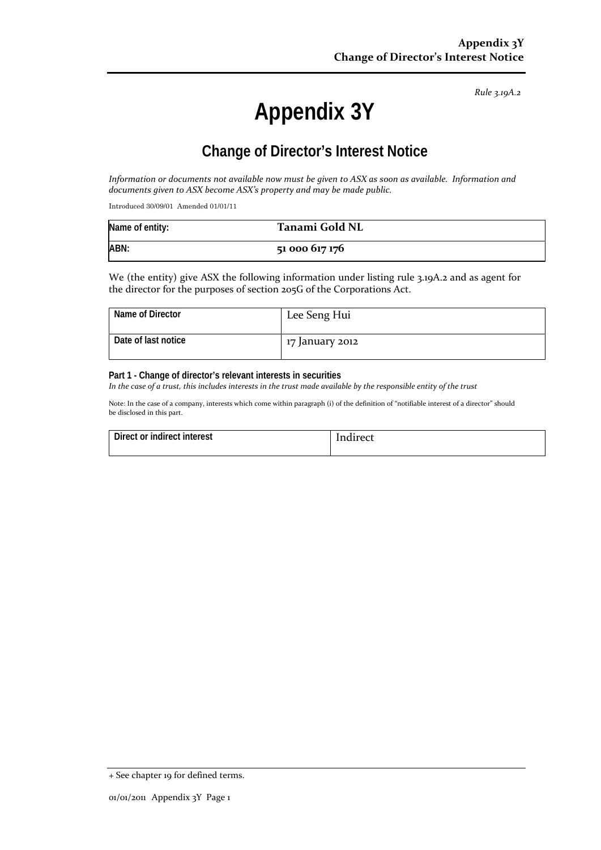*Rule 3.19A.2*

# **Appendix 3Y**

# **Change of Director's Interest Notice**

*Information or documents not available now must be given to ASX as soon as available. Information and documents given to ASX become ASX's property and may be made public.*

Introduced 30/09/01 Amended 01/01/11

| Name of entity: | Tanami Gold NL |
|-----------------|----------------|
| ABN:            | 51 000 617 176 |

We (the entity) give ASX the following information under listing rule 3.19A.2 and as agent for the director for the purposes of section 205G of the Corporations Act.

| Name of Director    | Lee Seng Hui    |
|---------------------|-----------------|
| Date of last notice | 17 January 2012 |

#### **Part 1 - Change of director's relevant interests in securities**

*In the case of a trust, this includes interests in the trust made available by the responsible entity of the trust*

Note: In the case of a company, interests which come within paragraph (i) of the definition of "notifiable interest of a director" should be disclosed in this part.

| Direct or indirect interest | Indirect |
|-----------------------------|----------|
|                             |          |

<sup>+</sup> See chapter 19 for defined terms.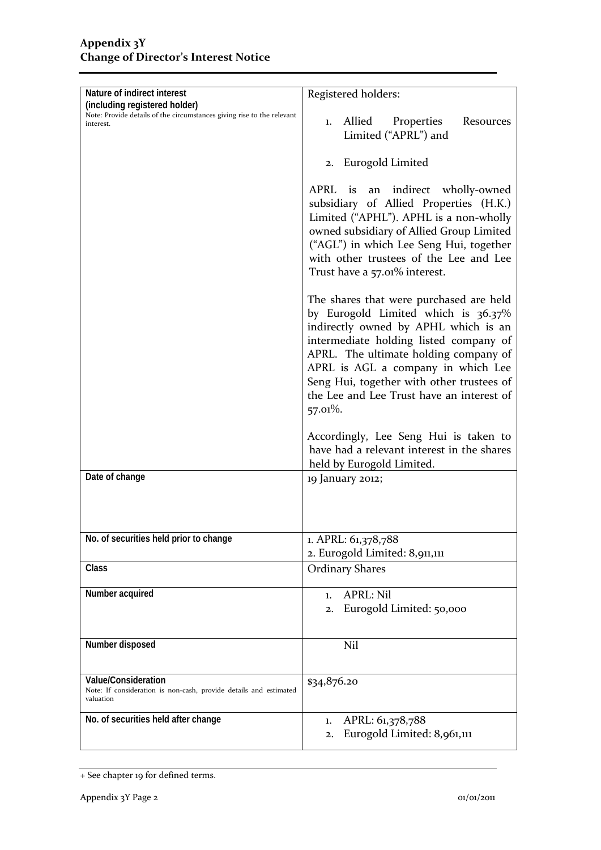| Nature of indirect interest                                                                             | Registered holders:                                                                                                     |  |
|---------------------------------------------------------------------------------------------------------|-------------------------------------------------------------------------------------------------------------------------|--|
| (including registered holder)<br>Note: Provide details of the circumstances giving rise to the relevant |                                                                                                                         |  |
| interest.                                                                                               | Allied<br>Properties<br>Resources<br>1.                                                                                 |  |
|                                                                                                         | Limited ("APRL") and                                                                                                    |  |
|                                                                                                         |                                                                                                                         |  |
|                                                                                                         | 2. Eurogold Limited                                                                                                     |  |
|                                                                                                         |                                                                                                                         |  |
|                                                                                                         | indirect wholly-owned<br>APRL is<br>an                                                                                  |  |
|                                                                                                         | subsidiary of Allied Properties (H.K.)                                                                                  |  |
|                                                                                                         | Limited ("APHL"). APHL is a non-wholly                                                                                  |  |
|                                                                                                         | owned subsidiary of Allied Group Limited                                                                                |  |
|                                                                                                         | ("AGL") in which Lee Seng Hui, together                                                                                 |  |
|                                                                                                         | with other trustees of the Lee and Lee                                                                                  |  |
|                                                                                                         | Trust have a 57.01% interest.                                                                                           |  |
|                                                                                                         |                                                                                                                         |  |
|                                                                                                         |                                                                                                                         |  |
|                                                                                                         | The shares that were purchased are held<br>by Eurogold Limited which is 36.37%                                          |  |
|                                                                                                         | indirectly owned by APHL which is an<br>intermediate holding listed company of<br>APRL. The ultimate holding company of |  |
|                                                                                                         |                                                                                                                         |  |
|                                                                                                         |                                                                                                                         |  |
|                                                                                                         |                                                                                                                         |  |
|                                                                                                         | APRL is AGL a company in which Lee                                                                                      |  |
|                                                                                                         | Seng Hui, together with other trustees of                                                                               |  |
|                                                                                                         | the Lee and Lee Trust have an interest of                                                                               |  |
|                                                                                                         | 57.01%.                                                                                                                 |  |
|                                                                                                         |                                                                                                                         |  |
|                                                                                                         | Accordingly, Lee Seng Hui is taken to                                                                                   |  |
|                                                                                                         | have had a relevant interest in the shares                                                                              |  |
|                                                                                                         | held by Eurogold Limited.                                                                                               |  |
| Date of change                                                                                          | 19 January 2012;                                                                                                        |  |
|                                                                                                         |                                                                                                                         |  |
|                                                                                                         |                                                                                                                         |  |
|                                                                                                         |                                                                                                                         |  |
| No. of securities held prior to change                                                                  | 1. APRL: 61,378,788                                                                                                     |  |
|                                                                                                         | 2. Eurogold Limited: 8,911,111                                                                                          |  |
| Class                                                                                                   | <b>Ordinary Shares</b>                                                                                                  |  |
|                                                                                                         |                                                                                                                         |  |
| Number acquired                                                                                         | <b>APRL: Nil</b><br>1.                                                                                                  |  |
|                                                                                                         | Eurogold Limited: 50,000<br>2.                                                                                          |  |
|                                                                                                         |                                                                                                                         |  |
|                                                                                                         |                                                                                                                         |  |
| Number disposed                                                                                         | Nil                                                                                                                     |  |
|                                                                                                         |                                                                                                                         |  |
| <b>Value/Consideration</b>                                                                              | \$34,876.20                                                                                                             |  |
| Note: If consideration is non-cash, provide details and estimated                                       |                                                                                                                         |  |
| valuation                                                                                               |                                                                                                                         |  |
| No. of securities held after change                                                                     | APRL: 61,378,788<br>1.                                                                                                  |  |
|                                                                                                         | Eurogold Limited: 8,961,111<br>2.                                                                                       |  |
|                                                                                                         |                                                                                                                         |  |

<sup>+</sup> See chapter 19 for defined terms.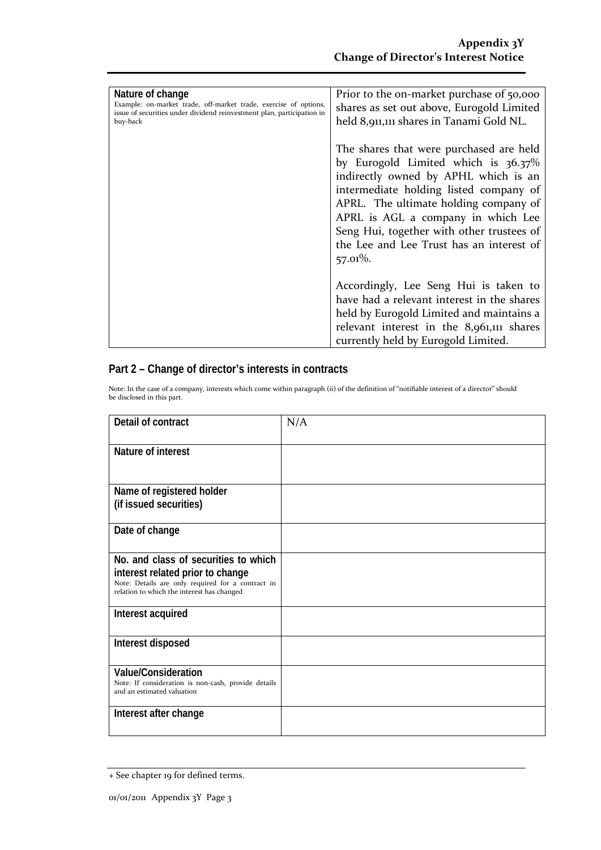| Nature of change<br>Example: on-market trade, off-market trade, exercise of options,<br>issue of securities under dividend reinvestment plan, participation in<br>buy-back | Prior to the on-market purchase of 50,000<br>shares as set out above, Eurogold Limited<br>held 8,911,111 shares in Tanami Gold NL.                                                                                                                                                                                                                         |
|----------------------------------------------------------------------------------------------------------------------------------------------------------------------------|------------------------------------------------------------------------------------------------------------------------------------------------------------------------------------------------------------------------------------------------------------------------------------------------------------------------------------------------------------|
|                                                                                                                                                                            | The shares that were purchased are held<br>by Eurogold Limited which is $36.37\%$<br>indirectly owned by APHL which is an<br>intermediate holding listed company of<br>APRL. The ultimate holding company of<br>APRL is AGL a company in which Lee<br>Seng Hui, together with other trustees of<br>the Lee and Lee Trust has an interest of<br>$57.01\%$ . |
|                                                                                                                                                                            | Accordingly, Lee Seng Hui is taken to<br>have had a relevant interest in the shares<br>held by Eurogold Limited and maintains a<br>relevant interest in the 8,961,111 shares<br>currently held by Eurogold Limited.                                                                                                                                        |

### **Part 2 – Change of director's interests in contracts**

Note: In the case of a company, interests which come within paragraph (ii) of the definition of "notifiable interest of a director" should be disclosed in this part.

| Detail of contract                                                                                                                                                          | N/A |
|-----------------------------------------------------------------------------------------------------------------------------------------------------------------------------|-----|
| Nature of interest                                                                                                                                                          |     |
| Name of registered holder<br>(if issued securities)                                                                                                                         |     |
| Date of change                                                                                                                                                              |     |
| No. and class of securities to which<br>interest related prior to change<br>Note: Details are only required for a contract in<br>relation to which the interest has changed |     |
| Interest acquired                                                                                                                                                           |     |
| Interest disposed                                                                                                                                                           |     |
| <b>Value/Consideration</b><br>Note: If consideration is non-cash, provide details<br>and an estimated valuation                                                             |     |
| Interest after change                                                                                                                                                       |     |

<sup>+</sup> See chapter 19 for defined terms.